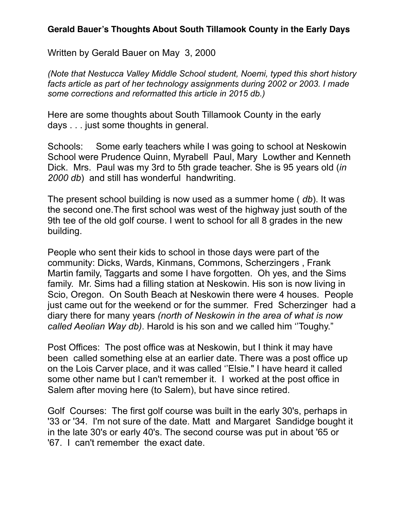## **Gerald Bauer's Thoughts About South Tillamook County in the Early Days**

Written by Gerald Bauer on May 3, 2000

*(Note that Nestucca Valley Middle School student, Noemi, typed this short history facts article as part of her technology assignments during 2002 or 2003. I made some corrections and reformatted this article in 2015 db.)* 

Here are some thoughts about South Tillamook County in the early days . . . just some thoughts in general.

Schools: Some early teachers while I was going to school at Neskowin School were Prudence Quinn, Myrabell Paul, Mary Lowther and Kenneth Dick. Mrs. Paul was my 3rd to 5th grade teacher. She is 95 years old (*in 2000 db*) and still has wonderful handwriting.

The present school building is now used as a summer home ( *db*). It was the second one.The first school was west of the highway just south of the 9th tee of the old golf course. I went to school for all 8 grades in the new building.

People who sent their kids to school in those days were part of the community: Dicks, Wards, Kinmans, Commons, Scherzingers , Frank Martin family, Taggarts and some I have forgotten. Oh yes, and the Sims family. Mr. Sims had a filling station at Neskowin. His son is now living in Scio, Oregon. On South Beach at Neskowin there were 4 houses. People just came out for the weekend or for the summer. Fred Scherzinger had a diary there for many years *(north of Neskowin in the area of what is now called Aeolian Way db)*. Harold is his son and we called him ''Toughy."

Post Offices: The post office was at Neskowin, but I think it may have been called something else at an earlier date. There was a post office up on the Lois Carver place, and it was called ''Elsie." I have heard it called some other name but I can't remember it. I worked at the post office in Salem after moving here (to Salem), but have since retired.

Golf Courses: The first golf course was built in the early 30's, perhaps in '33 or '34. I'm not sure of the date. Matt and Margaret Sandidge bought it in the late 30's or early 40's. The second course was put in about '65 or '67. I can't remember the exact date.